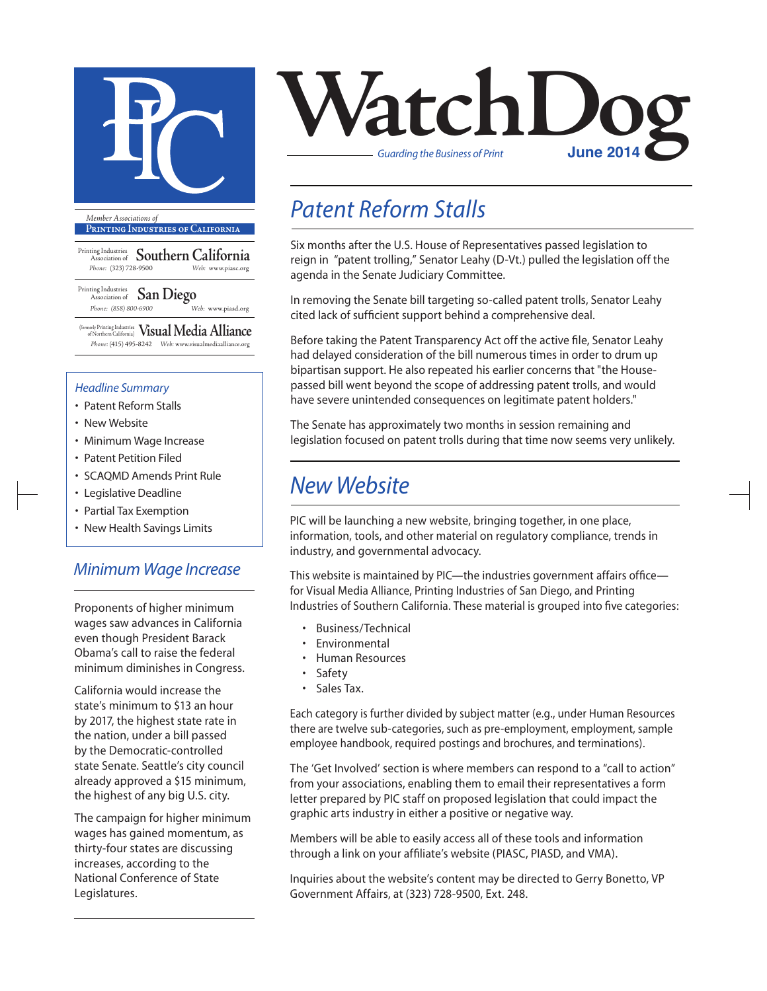

**Printing Industries of California**

Printing Industries Association of **Southern California** *Phone:* (323) 728-9500 *Web:* www.piasc.org

Printing Industries Association of **San Diego** *Phone: (858) 800-6900 Web:* www.piasd.org

(formerly Printing Industries of Northern California) **Visual Media Alliance** *Phone:* (415) 495-8242 *Web:* www.visualmediaalliance.org

#### *Headline Summary*

- Patent Reform Stalls
- New Website
- Minimum Wage Increase
- Patent Petition Filed
- SCAQMD Amends Print Rule
- Legislative Deadline
- Partial Tax Exemption
- New Health Savings Limits

### *Minimum Wage Increase*

Proponents of higher minimum wages saw advances in California even though President Barack Obama's call to raise the federal minimum diminishes in Congress.

California would increase the state's minimum to \$13 an hour by 2017, the highest state rate in the nation, under a bill passed by the Democratic-controlled state Senate. Seattle's city council already approved a \$15 minimum, the highest of any big U.S. city.

The campaign for higher minimum wages has gained momentum, as thirty-four states are discussing increases, according to the National Conference of State Legislatures.



## *Patent Reform Stalls*

Six months after the U.S. House of Representatives passed legislation to reign in "patent trolling," Senator Leahy (D-Vt.) pulled the legislation off the agenda in the Senate Judiciary Committee.

In removing the Senate bill targeting so-called patent trolls, Senator Leahy cited lack of sufficient support behind a comprehensive deal.

Before taking the Patent Transparency Act off the active file, Senator Leahy had delayed consideration of the bill numerous times in order to drum up bipartisan support. He also repeated his earlier concerns that "the Housepassed bill went beyond the scope of addressing patent trolls, and would have severe unintended consequences on legitimate patent holders."

The Senate has approximately two months in session remaining and legislation focused on patent trolls during that time now seems very unlikely.

## *New Website*

PIC will be launching a new website, bringing together, in one place, information, tools, and other material on regulatory compliance, trends in industry, and governmental advocacy.

This website is maintained by PIC—the industries government affairs office for Visual Media Alliance, Printing Industries of San Diego, and Printing Industries of Southern California. These material is grouped into five categories:

- Business/Technical
- Environmental
- Human Resources
- **Safety**
- Sales Tax.

Each category is further divided by subject matter (e.g., under Human Resources there are twelve sub-categories, such as pre-employment, employment, sample employee handbook, required postings and brochures, and terminations).

The 'Get Involved' section is where members can respond to a "call to action" from your associations, enabling them to email their representatives a form letter prepared by PIC staff on proposed legislation that could impact the graphic arts industry in either a positive or negative way.

Members will be able to easily access all of these tools and information through a link on your affiliate's website (PIASC, PIASD, and VMA).

Inquiries about the website's content may be directed to Gerry Bonetto, VP Government Affairs, at (323) 728-9500, Ext. 248.